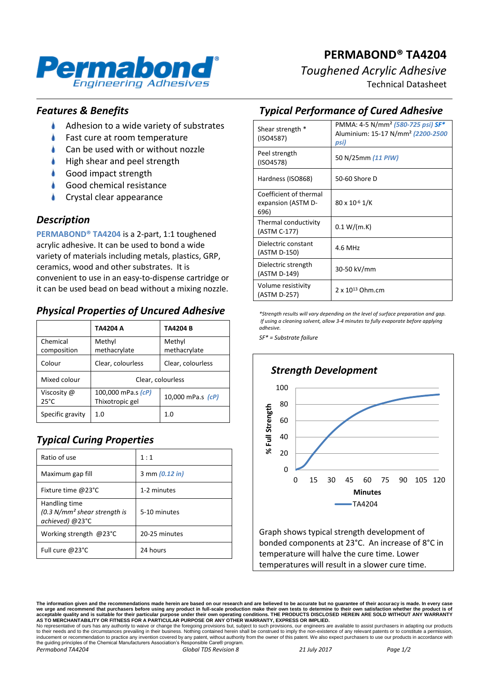

# **PERMABOND® TA4204** *Toughened Acrylic Adhesive*

Technical Datasheet

#### *Features & Benefits*

- $\bullet$ Adhesion to a wide variety of substrates
- Fast cure at room temperature
- Can be used with or without nozzle
- High shear and peel strength
- Good impact strength
- Good chemical resistance
- Crystal clear appearance

#### *Description*

**PERMABOND® TA4204** is a 2-part, 1:1 toughened acrylic adhesive. It can be used to bond a wide variety of materials including metals, plastics, GRP, ceramics, wood and other substrates. It is convenient to use in an easy-to-dispense cartridge or it can be used bead on bead without a mixing nozzle.

#### *Physical Properties of Uncured Adhesive*

|                               | TA4204 A                              | TA4204 B               |
|-------------------------------|---------------------------------------|------------------------|
| Chemical<br>composition       | Methyl<br>methacrylate                | Methyl<br>methacrylate |
| Colour                        | Clear, colourless                     | Clear, colourless      |
| Mixed colour                  | Clear, colourless                     |                        |
| Viscosity @<br>$25^{\circ}$ C | 100,000 mPa.s (cP)<br>Thixotropic gel | 10,000 mPa.s (cP)      |
| Specific gravity              | 1.0                                   | 1. $\Omega$            |

## *Typical Curing Properties*

| Ratio of use                                                       | 1:1            |
|--------------------------------------------------------------------|----------------|
| Maximum gap fill                                                   | 3 mm (0.12 in) |
| Fixture time @23°C                                                 | 1-2 minutes    |
| Handling time<br>$(0.3 N/mm2 shear strength is$<br>achieved) @23°C | 5-10 minutes   |
| Working strength @23°C                                             | 20-25 minutes  |
| Full cure $@23°C$                                                  | 24 hours       |

### *Typical Performance of Cured Adhesive*

| Shear strength *<br>(ISO4587)                        | PMMA: 4-5 N/mm <sup>2</sup> (580-725 psi) SF*<br>Aluminium: 15-17 N/mm <sup>2</sup> (2200-2500<br>psi) |
|------------------------------------------------------|--------------------------------------------------------------------------------------------------------|
| Peel strength<br>(ISO4578)                           | 50 N/25mm (11 PIW)                                                                                     |
| Hardness (ISO868)                                    | 50-60 Shore D                                                                                          |
| Coefficient of thermal<br>expansion (ASTM D-<br>696) | 80 x 10 <sup>-6</sup> 1/K                                                                              |
| Thermal conductivity<br>(ASTM C-177)                 | 0.1 W/(m.K)                                                                                            |
| Dielectric constant<br>(ASTM D-150)                  | 4.6 MHz                                                                                                |
| Dielectric strength<br>(ASTM D-149)                  | 30-50 kV/mm                                                                                            |
| Volume resistivity<br>(ASTM D-257)                   | $2 \times 10^{13}$ Ohm.cm                                                                              |

*\*Strength results will vary depending on the level of surface preparation and gap. If using a cleaning solvent, allow 3-4 minutes to fully evaporate before applying adhesive.*

*SF\* = Substrate failure*



Graph shows typical strength development of bonded components at 23°C. An increase of 8°C in temperature will halve the cure time. Lower temperatures will result in a slower cure time.

**The information given and the recommendations made herein are based on our research and are believed to be accurate but no guarantee of their accuracy is made. In every case**  we urge and recommend that purchasers before using any product in full-scale production make their own tests to determine to their own satisfaction whether the product is of<br>acceptable quality and is suitable for their par

No representative of ours has any authority to waive or change the foregoing provisions but, subject to such provisions, our engineers are available to assist purchasers in adapting our products<br>to their needs and to the c *Permabond TA4204 Global TDS Revision 8 21 July 2017 Page 1/2*